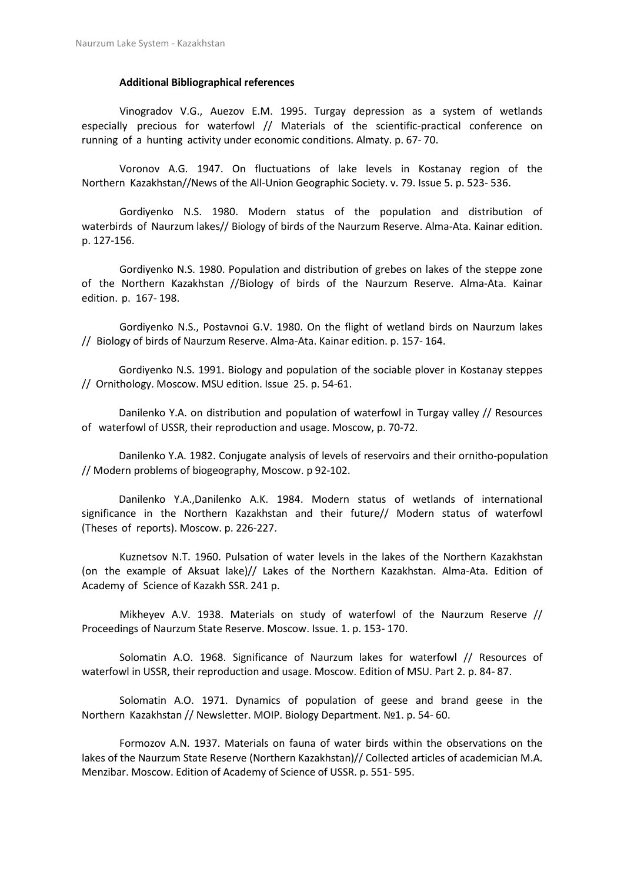## **Additional Bibliographical references**

Vinogradov V.G., Auezov E.M. 1995. Turgay depression as a system of wetlands especially precious for waterfowl // Materials of the scientific-practical conference on running of a hunting activity under economic conditions. Almaty. p. 67- 70.

Voronov A.G. 1947. On fluctuations of lake levels in Kostanay region of the Northern Kazakhstan//News of the All-Union Geographic Society. v. 79. Issue 5. p. 523- 536.

Gordiyenko N.S. 1980. Modern status of the population and distribution of waterbirds of Naurzum lakes// Biology of birds of the Naurzum Reserve. Alma-Ata. Kainar edition. p. 127-156.

Gordiyenko N.S. 1980. Population and distribution of grebes on lakes of the steppe zone of the Northern Kazakhstan //Biology of birds of the Naurzum Reserve. Alma-Ata. Kainar edition. p. 167- 198.

Gordiyenko N.S., Postavnoi G.V. 1980. On the flight of wetland birds on Naurzum lakes // Biology of birds of Naurzum Reserve. Alma-Ata. Kainar edition. p. 157- 164.

Gordiyenko N.S. 1991. Biology and population of the sociable plover in Kostanay steppes // Ornithology. Moscow. MSU edition. Issue 25. p. 54-61.

Danilenko Y.A. on distribution and population of waterfowl in Turgay valley // Resources of waterfowl of USSR, their reproduction and usage. Moscow, p. 70-72.

Danilenko Y.A. 1982. Conjugate analysis of levels of reservoirs and their ornitho-population // Modern problems of biogeography, Moscow. p 92-102.

Danilenko Y.A.,Danilenko A.K. 1984. Modern status of wetlands of international significance in the Northern Kazakhstan and their future// Modern status of waterfowl (Theses of reports). Moscow. p. 226-227.

Kuznetsov N.T. 1960. Pulsation of water levels in the lakes of the Northern Kazakhstan (on the example of Aksuat lake)// Lakes of the Northern Kazakhstan. Alma-Ata. Edition of Academy of Science of Kazakh SSR. 241 p.

Mikheyev A.V. 1938. Materials on study of waterfowl of the Naurzum Reserve // Proceedings of Naurzum State Reserve. Moscow. Issue. 1. p. 153- 170.

Solomatin A.O. 1968. Significance of Naurzum lakes for waterfowl // Resources of waterfowl in USSR, their reproduction and usage. Moscow. Edition of MSU. Part 2. p. 84- 87.

Solomatin A.O. 1971. Dynamics of population of geese and brand geese in the Northern Kazakhstan // Newsletter. MOIP. Biology Department. №1. p. 54- 60.

Formozov A.N. 1937. Materials on fauna of water birds within the observations on the lakes of the Naurzum State Reserve (Northern Kazakhstan)// Collected articles of academician M.A. Menzibar. Moscow. Edition of Academy of Science of USSR. p. 551- 595.